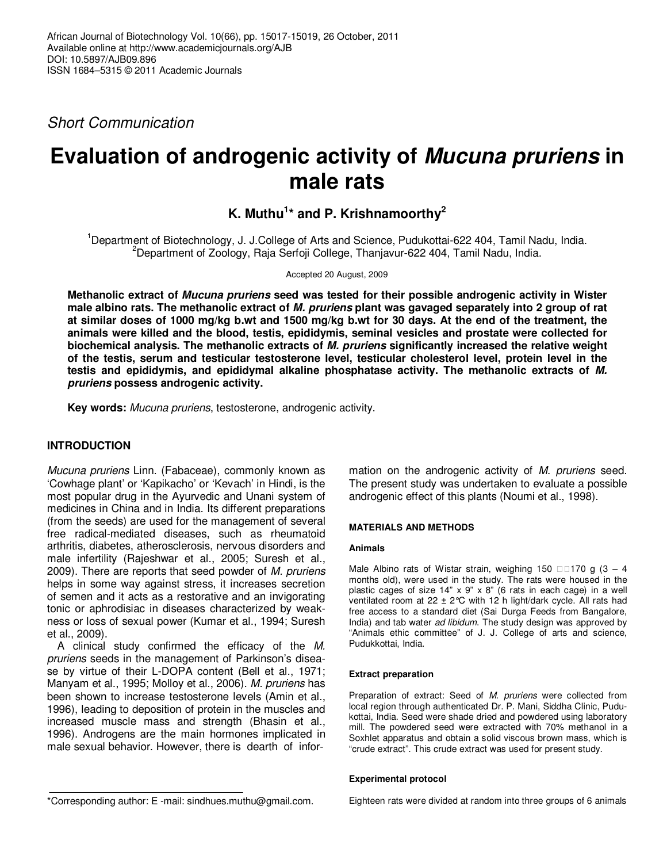Short Communication

# **Evaluation of androgenic activity of Mucuna pruriens in male rats**

**K. Muthu<sup>1</sup> \* and P. Krishnamoorthy<sup>2</sup>**

<sup>1</sup>Department of Biotechnology, J. J.College of Arts and Science, Pudukottai-622 404, Tamil Nadu, India. <sup>2</sup>Department of Zoology, Raja Serfoji College, Thanjavur-622 404, Tamil Nadu, India.

Accepted 20 August, 2009

**Methanolic extract of Mucuna pruriens seed was tested for their possible androgenic activity in Wister male albino rats. The methanolic extract of M. pruriens plant was gavaged separately into 2 group of rat at similar doses of 1000 mg/kg b.wt and 1500 mg/kg b.wt for 30 days. At the end of the treatment, the animals were killed and the blood, testis, epididymis, seminal vesicles and prostate were collected for biochemical analysis. The methanolic extracts of M. pruriens significantly increased the relative weight of the testis, serum and testicular testosterone level, testicular cholesterol level, protein level in the testis and epididymis, and epididymal alkaline phosphatase activity. The methanolic extracts of M. pruriens possess androgenic activity.** 

**Key words:** Mucuna pruriens, testosterone, androgenic activity.

# **INTRODUCTION**

Mucuna pruriens Linn. (Fabaceae), commonly known as 'Cowhage plant' or 'Kapikacho' or 'Kevach' in Hindi, is the most popular drug in the Ayurvedic and Unani system of medicines in China and in India. Its different preparations (from the seeds) are used for the management of several free radical-mediated diseases, such as rheumatoid arthritis, diabetes, atherosclerosis, nervous disorders and male infertility (Rajeshwar et al., 2005; Suresh et al., 2009). There are reports that seed powder of M. pruriens helps in some way against stress, it increases secretion of semen and it acts as a restorative and an invigorating tonic or aphrodisiac in diseases characterized by weakness or loss of sexual power (Kumar et al., 1994; Suresh et al., 2009).

A clinical study confirmed the efficacy of the M. pruriens seeds in the management of Parkinson's disease by virtue of their L-DOPA content (Bell et al., 1971; Manyam et al., 1995; Molloy et al., 2006). M. pruriens has been shown to increase testosterone levels (Amin et al., 1996), leading to deposition of protein in the muscles and increased muscle mass and strength (Bhasin et al., 1996). Androgens are the main hormones implicated in male sexual behavior. However, there is dearth of infor-

\*Corresponding author: E -mail: sindhues.muthu@gmail.com.

mation on the androgenic activity of M. pruriens seed. The present study was undertaken to evaluate a possible androgenic effect of this plants (Noumi et al., 1998).

# **MATERIALS AND METHODS**

## **Animals**

Male Albino rats of Wistar strain, weighing  $150 - 170$  g (3 – 4 months old), were used in the study. The rats were housed in the plastic cages of size 14" x 9" x 8" (6 rats in each cage) in a well ventilated room at 22  $\pm$  2°C with 12 h light/dark cycle. All rats had free access to a standard diet (Sai Durga Feeds from Bangalore, India) and tab water ad libidum. The study design was approved by "Animals ethic committee" of J. J. College of arts and science, Pudukkottai, India.

## **Extract preparation**

Preparation of extract: Seed of M. pruriens were collected from local region through authenticated Dr. P. Mani, Siddha Clinic, Pudukottai, India. Seed were shade dried and powdered using laboratory mill. The powdered seed were extracted with 70% methanol in a Soxhlet apparatus and obtain a solid viscous brown mass, which is "crude extract". This crude extract was used for present study.

#### **Experimental protocol**

Eighteen rats were divided at random into three groups of 6 animals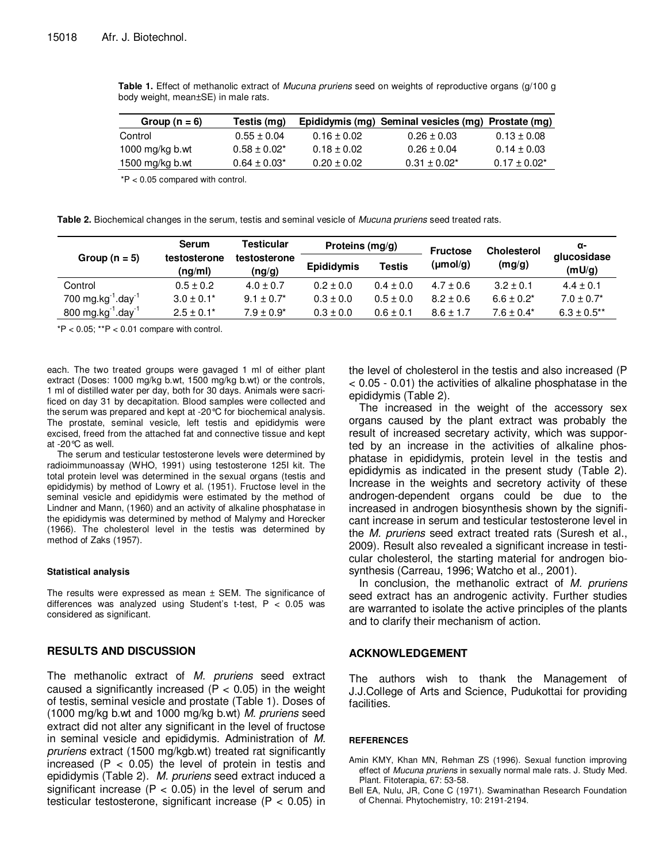| Group $(n = 6)$    | Testis (mg)      |                 | Epididymis (mg) Seminal vesicles (mg) Prostate (mg) |                 |
|--------------------|------------------|-----------------|-----------------------------------------------------|-----------------|
| Control            | $0.55 + 0.04$    | $0.16 \pm 0.02$ | $0.26 \pm 0.03$                                     | $0.13 \pm 0.08$ |
| 1000 mg/kg $b$ .wt | $0.58 + 0.02*$   | $0.18 \pm 0.02$ | $0.26 \pm 0.04$                                     | $0.14 \pm 0.03$ |
| 1500 mg/kg b.wt    | $0.64 \pm 0.03*$ | $0.20 \pm 0.02$ | $0.31 + 0.02^*$                                     | $0.17 + 0.02*$  |

**Table 1.** Effect of methanolic extract of Mucuna pruriens seed on weights of reproductive organs (g/100 g body weight, mean±SE) in male rats.

\*P < 0.05 compared with control.

**Table 2.** Biochemical changes in the serum, testis and seminal vesicle of Mucuna pruriens seed treated rats.

| Group $(n = 5)$                | Serum<br>testosterone<br>(ng/ml) | <b>Testicular</b><br>testosterone<br>(ng/g) | Proteins $(mg/q)$ |               | <b>Fructose</b>      | <b>Cholesterol</b> | α-                    |
|--------------------------------|----------------------------------|---------------------------------------------|-------------------|---------------|----------------------|--------------------|-----------------------|
|                                |                                  |                                             | <b>Epididymis</b> | Testis        | $(\mu \text{mol}/q)$ | (mg/g)             | qlucosidase<br>(mU/g) |
| Control                        | $0.5 \pm 0.2$                    | $4.0 \pm 0.7$                               | $0.2 \pm 0.0$     | $0.4 \pm 0.0$ | $4.7 \pm 0.6$        | $3.2 + 0.1$        | $4.4 \pm 0.1$         |
| 700 mg.kg $^{-1}$ .day $^{-1}$ | $3.0 \pm 0.1^*$                  | $9.1 \pm 0.7^*$                             | $0.3 \pm 0.0$     | $0.5 \pm 0.0$ | $8.2 \pm 0.6$        | $6.6 \pm 0.2^*$    | $7.0 \pm 0.7^*$       |
| 800 mg.kg $^{-1}$ .day $^{-1}$ | $2.5 \pm 0.1^*$                  | $7.9 \pm 0.9^*$                             | $0.3 \pm 0.0$     | $0.6 \pm 0.1$ | $8.6 \pm 1.7$        | $7.6 \pm 0.4^*$    | $6.3 \pm 0.5$ **      |

 $*P < 0.05$ ;  $*P < 0.01$  compare with control.

each. The two treated groups were gavaged 1 ml of either plant extract (Doses: 1000 mg/kg b.wt, 1500 mg/kg b.wt) or the controls, 1 ml of distilled water per day, both for 30 days. Animals were sacrificed on day 31 by decapitation. Blood samples were collected and the serum was prepared and kept at -20°C for biochemical analysis. The prostate, seminal vesicle, left testis and epididymis were excised, freed from the attached fat and connective tissue and kept at -20°C as well.

The serum and testicular testosterone levels were determined by radioimmunoassay (WHO, 1991) using testosterone 125I kit. The total protein level was determined in the sexual organs (testis and epididymis) by method of Lowry et al. (1951). Fructose level in the seminal vesicle and epididymis were estimated by the method of Lindner and Mann, (1960) and an activity of alkaline phosphatase in the epididymis was determined by method of Malymy and Horecker (1966). The cholesterol level in the testis was determined by method of Zaks (1957).

#### **Statistical analysis**

The results were expressed as mean  $\pm$  SEM. The significance of differences was analyzed using Student's t-test, P < 0.05 was considered as significant.

# **RESULTS AND DISCUSSION**

The methanolic extract of M. pruriens seed extract caused a significantly increased ( $P < 0.05$ ) in the weight of testis, seminal vesicle and prostate (Table 1). Doses of (1000 mg/kg b.wt and 1000 mg/kg b.wt) M. pruriens seed extract did not alter any significant in the level of fructose in seminal vesicle and epididymis. Administration of M. pruriens extract (1500 mg/kgb.wt) treated rat significantly increased ( $P < 0.05$ ) the level of protein in testis and epididymis (Table 2). M. pruriens seed extract induced a significant increase ( $P < 0.05$ ) in the level of serum and testicular testosterone, significant increase (P < 0.05) in the level of cholesterol in the testis and also increased (P < 0.05 - 0.01) the activities of alkaline phosphatase in the epididymis (Table 2).

The increased in the weight of the accessory sex organs caused by the plant extract was probably the result of increased secretary activity, which was supported by an increase in the activities of alkaline phosphatase in epididymis, protein level in the testis and epididymis as indicated in the present study (Table 2). Increase in the weights and secretory activity of these androgen-dependent organs could be due to the increased in androgen biosynthesis shown by the significant increase in serum and testicular testosterone level in the M. pruriens seed extract treated rats (Suresh et al., 2009). Result also revealed a significant increase in testicular cholesterol, the starting material for androgen biosynthesis (Carreau, 1996; Watcho et al., 2001).

In conclusion, the methanolic extract of M. pruriens seed extract has an androgenic activity. Further studies are warranted to isolate the active principles of the plants and to clarify their mechanism of action.

# **ACKNOWLEDGEMENT**

The authors wish to thank the Management of J.J.College of Arts and Science, Pudukottai for providing facilities.

## **REFERENCES**

- Amin KMY, Khan MN, Rehman ZS (1996). Sexual function improving effect of Mucuna pruriens in sexually normal male rats. J. Study Med. Plant. Fitoterapia, 67: 53-58.
- Bell EA, Nulu, JR, Cone C (1971). Swaminathan Research Foundation of Chennai. Phytochemistry, 10: 2191-2194.